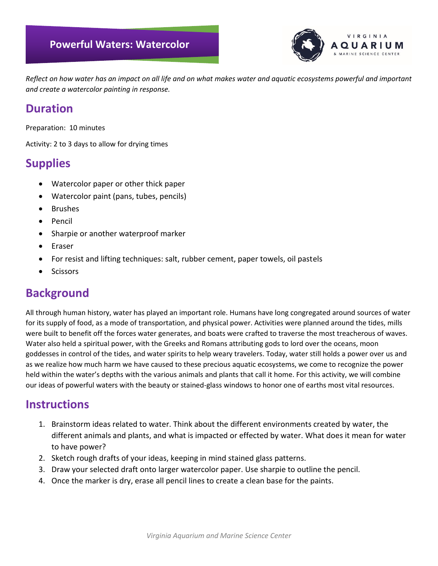

*Reflect on how water has an impact on all life and on what makes water and aquatic ecosystems powerful and important and create a watercolor painting in response.*

## **Duration**

Preparation: 10 minutes

Activity: 2 to 3 days to allow for drying times

# **Supplies**

- Watercolor paper or other thick paper
- Watercolor paint (pans, tubes, pencils)
- Brushes
- Pencil
- Sharpie or another waterproof marker
- Eraser
- For resist and lifting techniques: salt, rubber cement, paper towels, oil pastels
- **Scissors**

# **Background**

All through human history, water has played an important role. Humans have long congregated around sources of water for its supply of food, as a mode of transportation, and physical power. Activities were planned around the tides, mills were built to benefit off the forces water generates, and boats were crafted to traverse the most treacherous of waves. Water also held a spiritual power, with the Greeks and Romans attributing gods to lord over the oceans, moon goddesses in control of the tides, and water spirits to help weary travelers. Today, water still holds a power over us and as we realize how much harm we have caused to these precious aquatic ecosystems, we come to recognize the power held within the water's depths with the various animals and plants that call it home. For this activity, we will combine our ideas of powerful waters with the beauty or stained-glass windows to honor one of earths most vital resources.

### **Instructions**

- 1. Brainstorm ideas related to water. Think about the different environments created by water, the different animals and plants, and what is impacted or effected by water. What does it mean for water to have power?
- 2. Sketch rough drafts of your ideas, keeping in mind stained glass patterns.
- 3. Draw your selected draft onto larger watercolor paper. Use sharpie to outline the pencil.
- 4. Once the marker is dry, erase all pencil lines to create a clean base for the paints.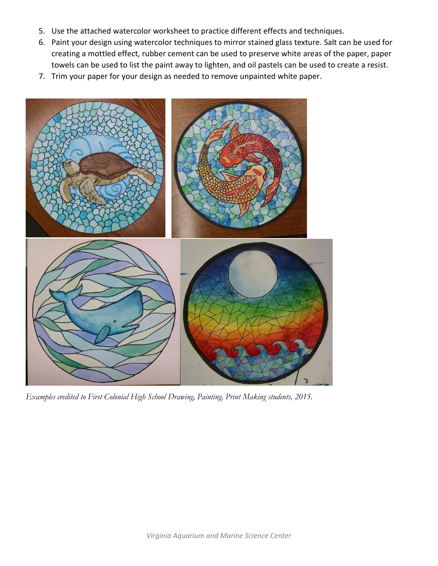- 5. Use the attached watercolor worksheet to practice different effects and techniques.
- 6. Paint your design using watercolor techniques to mirror stained glass texture. Salt can be used for creating a mottled effect, rubber cement can be used to preserve white areas of the paper, paper towels can be used to list the paint away to lighten, and oil pastels can be used to create a resist.
- 7. Trim your paper for your design as needed to remove unpainted white paper.



*Examples credited to First Colonial High School Drawing, Painting, Print Making students, 2015.*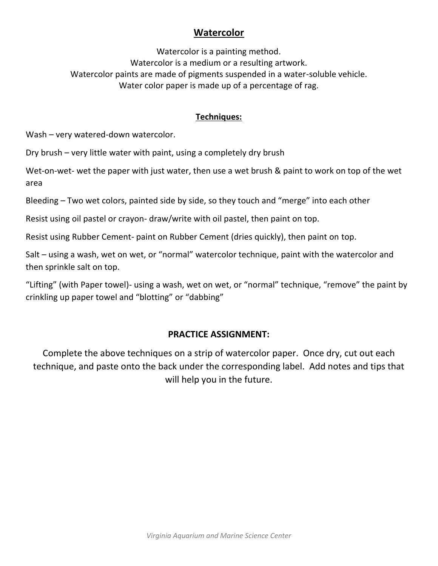### **Watercolor**

Watercolor is a painting method. Watercolor is a medium or a resulting artwork. Watercolor paints are made of pigments suspended in a water-soluble vehicle. Water color paper is made up of a percentage of rag.

#### **Techniques:**

Wash – very watered-down watercolor.

Dry brush – very little water with paint, using a completely dry brush

Wet-on-wet- wet the paper with just water, then use a wet brush & paint to work on top of the wet area

Bleeding – Two wet colors, painted side by side, so they touch and "merge" into each other

Resist using oil pastel or crayon- draw/write with oil pastel, then paint on top.

Resist using Rubber Cement- paint on Rubber Cement (dries quickly), then paint on top.

Salt – using a wash, wet on wet, or "normal" watercolor technique, paint with the watercolor and then sprinkle salt on top.

"Lifting" (with Paper towel)- using a wash, wet on wet, or "normal" technique, "remove" the paint by crinkling up paper towel and "blotting" or "dabbing"

#### **PRACTICE ASSIGNMENT:**

Complete the above techniques on a strip of watercolor paper. Once dry, cut out each technique, and paste onto the back under the corresponding label. Add notes and tips that will help you in the future.